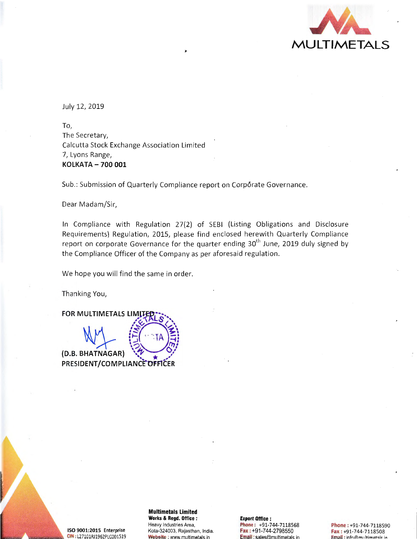

July 12, 2019

To, The Secretary, Calcutta Stock Exchange Association Limited 7, Lyons Range, **KOLKATA -700 001** 

Sub.: Submission of Quarterly Compliance report on Corporate Governance.

Dear Madam/Sir,

In Compliance with Regulation 27(2) of SEBI (Listing Obligations and Disclosure Requirements) Regulation, 2015, please find enclosed herewith Quarterly Compliance report on corporate Governance for the quarter ending  $30<sup>th</sup>$  June, 2019 duly signed by the Compliance Officer of the Company as per aforesaid regulation.

We hope you will find the same in order.

Thanking You,

**FOR MULTIMETALS LIMITED**  $\mathcal{E}(\mathcal{A})$  $E(A \cap A)$ ', '? ,., *:*  **(D.B. BHATNAGAR)** \~ \* ~.' **PRESIDENT/COMPLIANCE OFFICER** 

ISO 9001:2015 Enterprise CIN: L27101RJ1962PLC001519

**Multimetals Limited Works & Regd. Office** : Heavy Industries Area, Kota-324003, Rajasthan, India. Website : www.multimetals.in

**Export Office** : Phone: +91-744-7118S68 Fax : +91-744-2798550 Email: sales@multimetals.in

Phone: +91-744-7118S90 Fax: +9 1-744-7118508 Email : in fn@multimetals in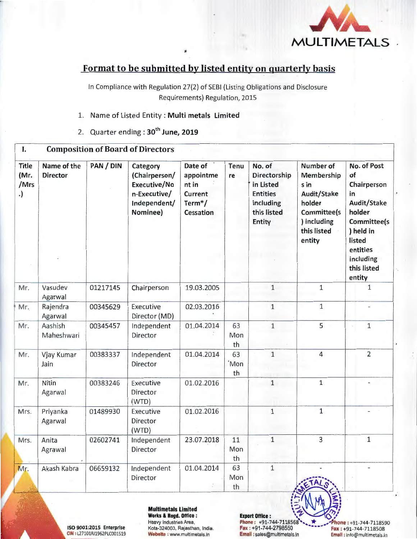

## Format to be submitted by listed entity on quarterly basis

In Compliance with Regulation 27(2) of SEBI (Listing Obligations and Disclosure Requirements) Regulation, 2015

- 1. Name of Listed Entity: Multi metals Limited
- 2. Quarter ending: 30<sup>th</sup> June, 2019

| Ι.                                 |                                |           | <b>Composition of Board of Directors</b>                                              |                                                                              |                              |                                                                                              |                                                                                                                        |                                                                                                                                                         |
|------------------------------------|--------------------------------|-----------|---------------------------------------------------------------------------------------|------------------------------------------------------------------------------|------------------------------|----------------------------------------------------------------------------------------------|------------------------------------------------------------------------------------------------------------------------|---------------------------------------------------------------------------------------------------------------------------------------------------------|
| <b>Title</b><br>(Mr.<br>/Mrs<br>.) | Name of the<br><b>Director</b> | PAN / DIN | Category<br>(Chairperson/<br>Executive/No<br>n-Executive/<br>Independent/<br>Nominee) | Date of<br>appointme<br>nt in<br>Current<br>Term <sup>*</sup> /<br>Cessation | Tenu<br>re                   | No. of<br>Directorship<br>in Listed<br><b>Entities</b><br>including<br>this listed<br>Entity | Number of<br>Membership<br>s in<br>Audit/Stake<br>holder<br><b>Committee(s</b><br>) including<br>this listed<br>entity | No. of Post<br>of<br>Chairperson<br>in<br>Audit/Stake<br>holder<br>Committee(s<br>) held in<br>listed<br>entities<br>including<br>this listed<br>entity |
| Mr.                                | Vasudev<br>Agarwal             | 01217145  | Chairperson                                                                           | 19.03.2005                                                                   |                              | $\mathbf{1}$                                                                                 | $\mathbf 1$                                                                                                            | 1                                                                                                                                                       |
| Mr.                                | Rajendra<br>Agarwal            | 00345629  | Executive<br>Director (MD)                                                            | 02.03.2016                                                                   |                              | $1\,$                                                                                        | $\mathbf{1}$                                                                                                           |                                                                                                                                                         |
| Mr.                                | Aashish<br>Maheshwari          | 00345457  | Independent<br>Director                                                               | 01.04.2014                                                                   | 63<br>Mon<br>th              | $\mathbf{1}$                                                                                 | 5                                                                                                                      | $1\,$                                                                                                                                                   |
| Mr.                                | Vjay Kumar<br>Jain             | 00383337  | Independent<br>Director                                                               | 01.04.2014                                                                   | 63<br>Mon <sup>'</sup><br>th | $1\,$                                                                                        | $\overline{4}$                                                                                                         | $\overline{2}$                                                                                                                                          |
| Mr.                                | Nitin<br>Agarwal               | 00383246  | Executive<br>Director<br>(WTD)                                                        | 01.02.2016                                                                   |                              | $\mathbf{1}$                                                                                 | $\mathbf{1}$                                                                                                           |                                                                                                                                                         |
| Mrs.                               | Priyanka<br>Agarwal            | 01489930  | Executive<br>Director<br>(WTD)                                                        | 01.02.2016                                                                   |                              | $\mathbf{1}$                                                                                 | $\mathbf{1}$                                                                                                           |                                                                                                                                                         |
| Mrs.                               | Anita<br>Agrawal               | 02602741  | Independent<br>Director                                                               | 23.07.2018                                                                   | 11<br>Mon<br>th              | $1\,$                                                                                        | $\overline{3}$                                                                                                         | $1\,$                                                                                                                                                   |
| Mr.                                | Akash Kabra                    | 06659132  | Independent<br>Director                                                               | 01.04.2014                                                                   | 63<br>Mon<br>th              | $\mathbf 1$                                                                                  |                                                                                                                        |                                                                                                                                                         |

A

l.

 $\begin{picture}(180,10) \put(0,0){\line(1,0){100}} \put(15,0){\line(1,0){100}} \put(15,0){\line(1,0){100}} \put(15,0){\line(1,0){100}} \put(15,0){\line(1,0){100}} \put(15,0){\line(1,0){100}} \put(15,0){\line(1,0){100}} \put(15,0){\line(1,0){100}} \put(15,0){\line(1,0){100}} \put(15,0){\line(1,0){100}} \put(15,0){\line(1,0){100}}$ Multimetals Limited<br>
Works & Regd. Office :<br>
Heavy Industries Area, **Phone :** +91-744-7118568<br>
Phone : +91-744-7118590 Heavy Industries Area, Phone : +91-744-7118568•• .... \* ...... hone : +91-744-7118S90 ISO 9001:201S Enterprise Kota-324003, Rajasthan, India. Fax : +91-744-2798550 ...... Fax : +91-744-7118508 CIN : L27101RJ1962PLC001519 Website : www.multimetals.in Email : sales@multimetals.in Email : info@multimetals.in

 $5. N$  $7 \frac{1}{4}$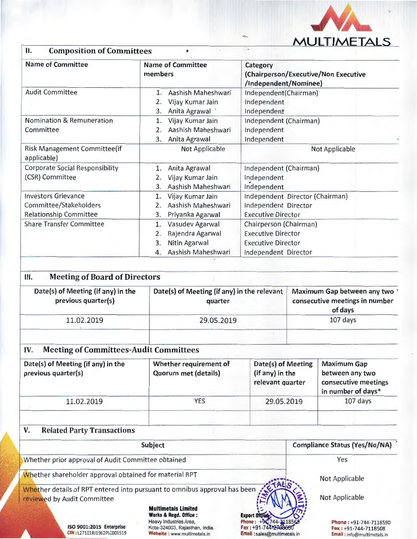

| <b>Composition of Committees</b><br>П.                                                | ж                                                                                                              |                                                                                                          |                                                                           |  |
|---------------------------------------------------------------------------------------|----------------------------------------------------------------------------------------------------------------|----------------------------------------------------------------------------------------------------------|---------------------------------------------------------------------------|--|
| <b>Name of Committee</b>                                                              | <b>Name of Committee</b><br>members                                                                            | Category<br>(Chairperson/Executive/Non Executive<br>/Independent/Nominee)                                |                                                                           |  |
| <b>Audit Committee</b>                                                                | Aashish Maheshwari<br>1.<br>Vijay Kumar Jain<br>2.<br>Anita Agrawal<br>3.                                      | Independent(Chairman)<br>Independent<br>Independent                                                      |                                                                           |  |
| <b>Nomination &amp; Remuneration</b><br>Committee                                     | Vijay Kumar Jain<br>1.<br>Aashish Maheshwari<br>2.<br>Anita Agrawal<br>3.                                      | Independent (Chairman)<br>Independent<br>Independent                                                     |                                                                           |  |
| Risk Management Committee(if<br>applicable)                                           | Not Applicable                                                                                                 | Not Applicable                                                                                           |                                                                           |  |
| <b>Corporate Social Responsibility</b><br>(CSR) Committee                             | Anita Agrawal<br>1.<br>Vijay Kumar Jain<br>2.<br>Aashish Maheshwari<br>3.                                      | Independent (Chairman)<br>Independent<br>Independent                                                     |                                                                           |  |
| <b>Investors Grievance</b><br>Committee/Stakeholders<br><b>Relationship Committee</b> | Vijay Kumar Jain<br>1.<br>Aashish Maheshwari<br>2.<br>Priyanka Agarwal<br>3.                                   | Independent Director (Chairman)<br>Independent Director<br><b>Executive Director</b>                     |                                                                           |  |
| <b>Share Transfer Committee</b>                                                       | Vasudev Agarwal<br>$\mathbf{1}$ .<br>Rajendra Agarwal<br>2.<br>Nitin Agarwal<br>3.<br>Aashish Maheshwari<br>4. | Chairperson (Chairman)<br><b>Executive Director</b><br><b>Executive Director</b><br>Independent Director |                                                                           |  |
| Ш.<br><b>Meeting of Board of Directors</b>                                            |                                                                                                                |                                                                                                          |                                                                           |  |
| Date(s) of Meeting (if any) in the<br>previous quarter(s)                             | Date(s) of Meeting (if any) in the relevant<br>quarter                                                         |                                                                                                          | Maximum Gap between any two'<br>consecutive meetings in number<br>of days |  |
| 11.02.2019                                                                            | 29.05.2019                                                                                                     |                                                                                                          | 107 days                                                                  |  |
| <b>Meeting of Committees-Audit Committees</b><br>IV.                                  |                                                                                                                |                                                                                                          |                                                                           |  |

| Date(s) of Meeting (if any) in the<br>previous quarter(s) | Whether requirement of<br><b>Quorum met (details)</b> | Date(s) of Meeting<br>(if any) in the<br>relevant quarter | <b>Maximum Gap</b><br>between any two<br>consecutive meetings<br>in number of days* |
|-----------------------------------------------------------|-------------------------------------------------------|-----------------------------------------------------------|-------------------------------------------------------------------------------------|
| 11.02.2019                                                | YES                                                   | 29.05.2019                                                | 107 days                                                                            |
|                                                           |                                                       |                                                           |                                                                                     |

## v. Related Party Transactions

CIN: L27101RJ1962PLC001519

| Subject                                                                                                  | <b>Compliance Status (Yes/No/NA)</b>                                                                                                                    |                                                                          |
|----------------------------------------------------------------------------------------------------------|---------------------------------------------------------------------------------------------------------------------------------------------------------|--------------------------------------------------------------------------|
| Whether prior approval of Audit Committee obtained                                                       | Yes                                                                                                                                                     |                                                                          |
| Whether shareholder approval obtained for material RPT                                                   |                                                                                                                                                         | Not Applicable                                                           |
| Whether details of RPT entered into pursuant to omnibus approval has been<br>reviewed by Audit Committee |                                                                                                                                                         | Not Applicable                                                           |
| ISO 9001:2015 Enterprise                                                                                 | <b>Multimetals Limited</b><br>Export Office<br>Works & Regd. Office:<br>Heavy Industries Area,<br>Fax: +91-744 270855<br>Kota-324003, Rajasthan, India. | Phone: +94-744-7118568<br>Phone: +91-744-7118590<br>Fax: +91-744-7118508 |

Website : www.multimetals.in

Email : sales@multimetals.in

Email: info@multimetals.in